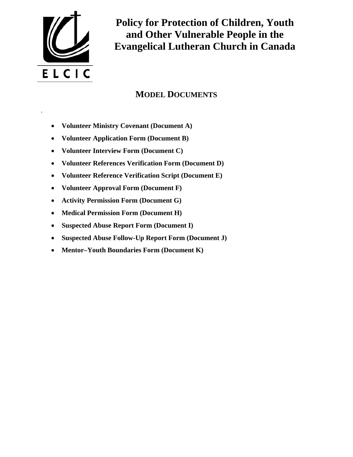

.

**Policy for Protection of Children, Youth and Other Vulnerable People in the Evangelical Lutheran Church in Canada** 

# **MODEL DOCUMENTS**

- **Volunteer Ministry Covenant (Document A)**
- **Volunteer Application Form (Document B)**
- **Volunteer Interview Form (Document C)**
- **Volunteer References Verification Form (Document D)**
- **Volunteer Reference Verification Script (Document E)**
- **Volunteer Approval Form (Document F)**
- **Activity Permission Form (Document G)**
- **Medical Permission Form (Document H)**
- **Suspected Abuse Report Form (Document I)**
- **Suspected Abuse Follow-Up Report Form (Document J)**
- **Mentor–Youth Boundaries Form (Document K)**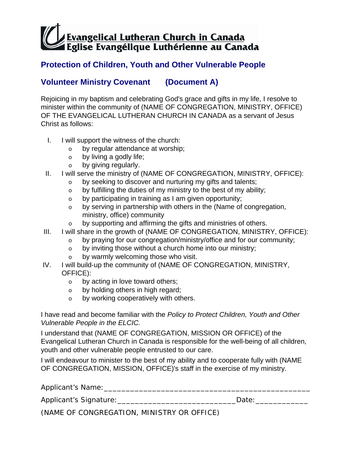### **Protection of Children, Youth and Other Vulnerable People**

### **Volunteer Ministry Covenant (Document A)**

Rejoicing in my baptism and celebrating God's grace and gifts in my life, I resolve to minister within the community of (NAME OF CONGREGATION, MINISTRY, OFFICE) OF THE EVANGELICAL LUTHERAN CHURCH IN CANADA as a servant of Jesus Christ as follows:

- I. I will support the witness of the church:
	- o by regular attendance at worship;
	- o by living a godly life;
	- o by giving regularly.
- II. I will serve the ministry of (NAME OF CONGREGATION, MINISTRY, OFFICE):
	- o by seeking to discover and nurturing my gifts and talents;
	- $\circ$  by fulfilling the duties of my ministry to the best of my ability;
	- o by participating in training as I am given opportunity;
	- o by serving in partnership with others in the (Name of congregation, ministry, office) community
	- o by supporting and affirming the gifts and ministries of others.
- III. I will share in the growth of (NAME OF CONGREGATION, MINISTRY, OFFICE):
	- o by praying for our congregation/ministry/office and for our community;
	- o by inviting those without a church home into our ministry;
	- o by warmly welcoming those who visit.
- IV. I will build-up the community of (NAME OF CONGREGATION, MINISTRY, OFFICE):
	- o by acting in love toward others;
	- o by holding others in high regard;
	- o by working cooperatively with others.

I have read and become familiar with the *Policy to Protect Children, Youth and Other Vulnerable People in the ELCIC.*

I understand that (NAME OF CONGREGATION, MISSION OR OFFICE) of the Evangelical Lutheran Church in Canada is responsible for the well-being of all children, youth and other vulnerable people entrusted to our care.

I will endeavour to minister to the best of my ability and to cooperate fully with (NAME OF CONGREGATION, MISSION, OFFICE)'s staff in the exercise of my ministry.

| Applicant's Name:                          |       |  |
|--------------------------------------------|-------|--|
| Applicant's Signature:                     | Date: |  |
| (NAME OF CONGREGATION, MINISTRY OR OFFICE) |       |  |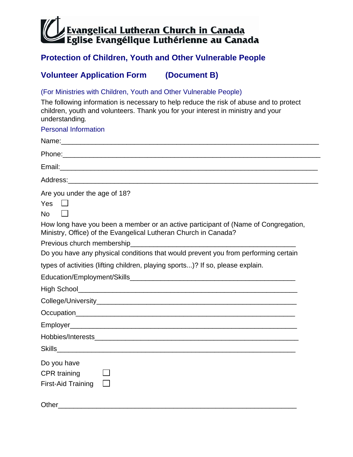# **Protection of Children, Youth and Other Vulnerable People**

# **Volunteer Application Form (Document B)**

(For Ministries with Children, Youth and Other Vulnerable People)

The following information is necessary to help reduce the risk of abuse and to protect children, youth and volunteers. Thank you for your interest in ministry and your understanding*.*

| <b>Personal Information</b>                                                                                                                                                                                                          |
|--------------------------------------------------------------------------------------------------------------------------------------------------------------------------------------------------------------------------------------|
|                                                                                                                                                                                                                                      |
|                                                                                                                                                                                                                                      |
|                                                                                                                                                                                                                                      |
|                                                                                                                                                                                                                                      |
| Are you under the age of 18?                                                                                                                                                                                                         |
| Yes                                                                                                                                                                                                                                  |
| <b>No</b>                                                                                                                                                                                                                            |
| How long have you been a member or an active participant of (Name of Congregation,<br>Ministry, Office) of the Evangelical Lutheran Church in Canada?                                                                                |
| Previous church membership                                                                                                                                                                                                           |
| Do you have any physical conditions that would prevent you from performing certain                                                                                                                                                   |
| types of activities (lifting children, playing sports)? If so, please explain.                                                                                                                                                       |
|                                                                                                                                                                                                                                      |
|                                                                                                                                                                                                                                      |
|                                                                                                                                                                                                                                      |
| Occupation <b>Contract Contract Contract Contract Contract Contract Contract Contract Contract Contract Contract Contract Contract Contract Contract Contract Contract Contract Contract Contract Contract Contract Contract Con</b> |
|                                                                                                                                                                                                                                      |
|                                                                                                                                                                                                                                      |
|                                                                                                                                                                                                                                      |
| Do you have                                                                                                                                                                                                                          |
| <b>CPR</b> training                                                                                                                                                                                                                  |
| First-Aid Training                                                                                                                                                                                                                   |
| Other                                                                                                                                                                                                                                |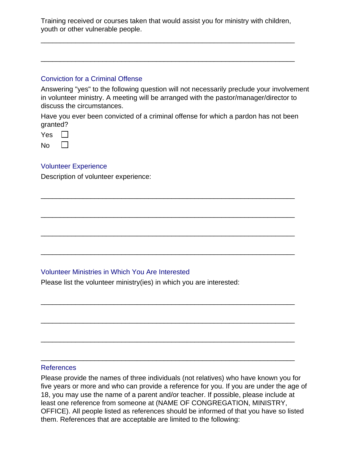Training received or courses taken that would assist you for ministry with children, youth or other vulnerable people.

\_\_\_\_\_\_\_\_\_\_\_\_\_\_\_\_\_\_\_\_\_\_\_\_\_\_\_\_\_\_\_\_\_\_\_\_\_\_\_\_\_\_\_\_\_\_\_\_\_\_\_\_\_\_\_\_\_\_\_\_\_\_\_\_\_\_

\_\_\_\_\_\_\_\_\_\_\_\_\_\_\_\_\_\_\_\_\_\_\_\_\_\_\_\_\_\_\_\_\_\_\_\_\_\_\_\_\_\_\_\_\_\_\_\_\_\_\_\_\_\_\_\_\_\_\_\_\_\_\_\_\_\_

#### Conviction for a Criminal Offense

Answering "yes" to the following question will not necessarily preclude your involvement in volunteer ministry. A meeting will be arranged with the pastor/manager/director to discuss the circumstances.

Have you ever been convicted of a criminal offense for which a pardon has not been granted?

\_\_\_\_\_\_\_\_\_\_\_\_\_\_\_\_\_\_\_\_\_\_\_\_\_\_\_\_\_\_\_\_\_\_\_\_\_\_\_\_\_\_\_\_\_\_\_\_\_\_\_\_\_\_\_\_\_\_\_\_\_\_\_\_\_\_

\_\_\_\_\_\_\_\_\_\_\_\_\_\_\_\_\_\_\_\_\_\_\_\_\_\_\_\_\_\_\_\_\_\_\_\_\_\_\_\_\_\_\_\_\_\_\_\_\_\_\_\_\_\_\_\_\_\_\_\_\_\_\_\_\_\_

\_\_\_\_\_\_\_\_\_\_\_\_\_\_\_\_\_\_\_\_\_\_\_\_\_\_\_\_\_\_\_\_\_\_\_\_\_\_\_\_\_\_\_\_\_\_\_\_\_\_\_\_\_\_\_\_\_\_\_\_\_\_\_\_\_\_

\_\_\_\_\_\_\_\_\_\_\_\_\_\_\_\_\_\_\_\_\_\_\_\_\_\_\_\_\_\_\_\_\_\_\_\_\_\_\_\_\_\_\_\_\_\_\_\_\_\_\_\_\_\_\_\_\_\_\_\_\_\_\_\_\_\_

\_\_\_\_\_\_\_\_\_\_\_\_\_\_\_\_\_\_\_\_\_\_\_\_\_\_\_\_\_\_\_\_\_\_\_\_\_\_\_\_\_\_\_\_\_\_\_\_\_\_\_\_\_\_\_\_\_\_\_\_\_\_\_\_\_\_

\_\_\_\_\_\_\_\_\_\_\_\_\_\_\_\_\_\_\_\_\_\_\_\_\_\_\_\_\_\_\_\_\_\_\_\_\_\_\_\_\_\_\_\_\_\_\_\_\_\_\_\_\_\_\_\_\_\_\_\_\_\_\_\_\_\_

\_\_\_\_\_\_\_\_\_\_\_\_\_\_\_\_\_\_\_\_\_\_\_\_\_\_\_\_\_\_\_\_\_\_\_\_\_\_\_\_\_\_\_\_\_\_\_\_\_\_\_\_\_\_\_\_\_\_\_\_\_\_\_\_\_\_

\_\_\_\_\_\_\_\_\_\_\_\_\_\_\_\_\_\_\_\_\_\_\_\_\_\_\_\_\_\_\_\_\_\_\_\_\_\_\_\_\_\_\_\_\_\_\_\_\_\_\_\_\_\_\_\_\_\_\_\_\_\_\_\_\_\_

| Yes |  |
|-----|--|
| Nο  |  |

#### Volunteer Experience

Description of volunteer experience:

#### Volunteer Ministries in Which You Are Interested

Please list the volunteer ministry(ies) in which you are interested:

#### References

Please provide the names of three individuals (not relatives) who have known you for five years or more and who can provide a reference for you. If you are under the age of 18, you may use the name of a parent and/or teacher. If possible, please include at least one reference from someone at (NAME OF CONGREGATION, MINISTRY, OFFICE). All people listed as references should be informed of that you have so listed them. References that are acceptable are limited to the following: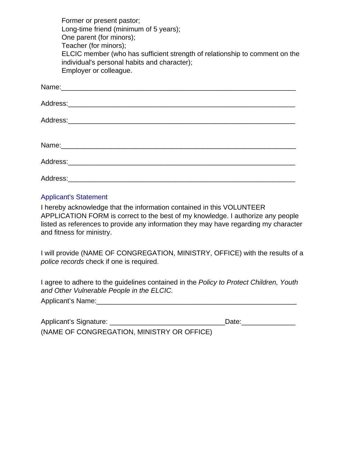Former or present pastor; Long-time friend (minimum of 5 years); One parent (for minors); Teacher (for minors); ELCIC member (who has sufficient strength of relationship to comment on the individual's personal habits and character); Employer or colleague.

#### Applicant's Statement

I hereby acknowledge that the information contained in this VOLUNTEER APPLICATION FORM is correct to the best of my knowledge. I authorize any people listed as references to provide any information they may have regarding my character and fitness for ministry.

I will provide (NAME OF CONGREGATION, MINISTRY, OFFICE) with the results of a *police records* check if one is required.

I agree to adhere to the guidelines contained in the *Policy to Protect Children, Youth and Other Vulnerable People in the ELCIC.* 

| Applicant's Name: |  |  |  |
|-------------------|--|--|--|
|                   |  |  |  |

| Applicant's Signature:                     | Date: |
|--------------------------------------------|-------|
| (NAME OF CONGREGATION, MINISTRY OR OFFICE) |       |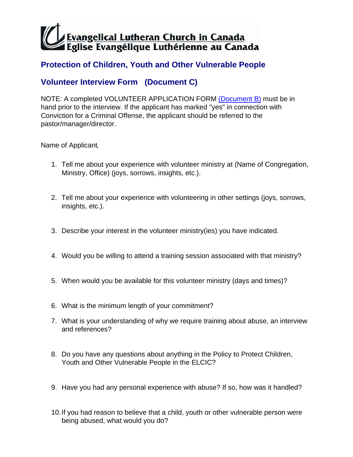# **Protection of Children, Youth and Other Vulnerable People**

# **Volunteer Interview Form (Document C)**

NOTE: A completed VOLUNTEER APPLICATION FORM (Document B) must be in hand prior to the interview. If the applicant has marked "yes" in connection with Conviction for a Criminal Offense, the applicant should be referred to the pastor/manager/director.

Name of Applicant

- 1. Tell me about your experience with volunteer ministry at (Name of Congregation, Ministry, Office) (joys, sorrows, insights, etc.).
- 2. Tell me about your experience with volunteering in other settings (joys, sorrows, insights, etc.).
- 3. Describe your interest in the volunteer ministry(ies) you have indicated.
- 4. Would you be willing to attend a training session associated with that ministry?
- 5. When would you be available for this volunteer ministry (days and times)?
- 6. What is the minimum length of your commitment?
- 7. What is your understanding of why we require training about abuse, an interview and references?
- 8. Do you have any questions about anything in the Policy to Protect Children, Youth and Other Vulnerable People in the ELCIC?
- 9. Have you had any personal experience with abuse? If so, how was it handled?
- 10. If you had reason to believe that a child, youth or other vulnerable person were being abused, what would you do?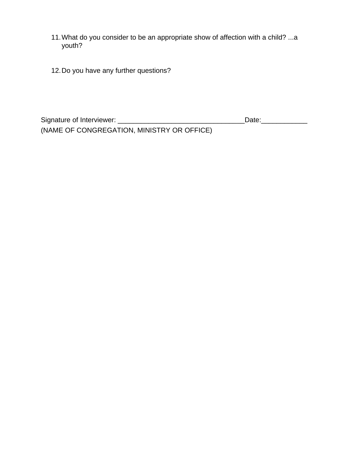- 11. What do you consider to be an appropriate show of affection with a child? ...a youth?
- 12. Do you have any further questions?

| Signature of Interviewer:                  | Date: |  |
|--------------------------------------------|-------|--|
| (NAME OF CONGREGATION, MINISTRY OR OFFICE) |       |  |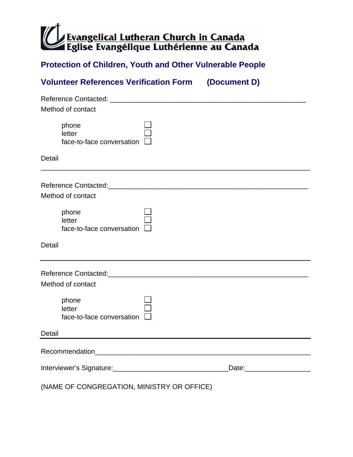### **Protection of Children, Youth and Other Vulnerable People**

# **Volunteer References Verification Form (Document D)**

| Method of contact                                                |                                                                                                                                                                                                                                     |
|------------------------------------------------------------------|-------------------------------------------------------------------------------------------------------------------------------------------------------------------------------------------------------------------------------------|
| phone<br>letter<br>face-to-face conversation                     |                                                                                                                                                                                                                                     |
| Detail                                                           |                                                                                                                                                                                                                                     |
|                                                                  |                                                                                                                                                                                                                                     |
| Method of contact                                                |                                                                                                                                                                                                                                     |
| phone<br>letter<br>face-to-face conversation                     |                                                                                                                                                                                                                                     |
| <b>Detail</b>                                                    |                                                                                                                                                                                                                                     |
| Reference Contacted: Network and Contacted:<br>Method of contact |                                                                                                                                                                                                                                     |
| phone<br>letter<br>face-to-face conversation                     |                                                                                                                                                                                                                                     |
| Detail                                                           |                                                                                                                                                                                                                                     |
|                                                                  |                                                                                                                                                                                                                                     |
| Interviewer's Signature:<br><u> Literal Associations</u>         | Date: <u>with the second second</u> and second the second second second second second second second second second second second second second second second second second second second second second second second second second s |
| (NAME OF CONGREGATION, MINISTRY OR OFFICE)                       |                                                                                                                                                                                                                                     |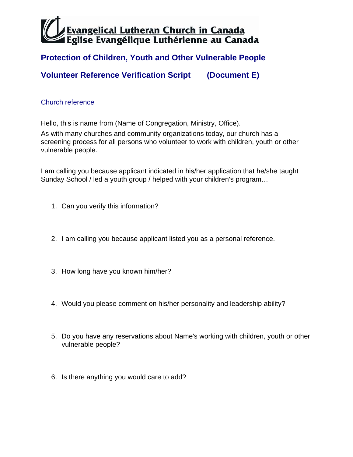### **Protection of Children, Youth and Other Vulnerable People**

**Volunteer Reference Verification Script (Document E)** 

#### Church reference

Hello, this is name from (Name of Congregation, Ministry, Office).

As with many churches and community organizations today, our church has a screening process for all persons who volunteer to work with children, youth or other vulnerable people.

I am calling you because applicant indicated in his/her application that he/she taught Sunday School / led a youth group / helped with your children's program…

- 1. Can you verify this information?
- 2. I am calling you because applicant listed you as a personal reference.
- 3. How long have you known him/her?
- 4. Would you please comment on his/her personality and leadership ability?
- 5. Do you have any reservations about Name's working with children, youth or other vulnerable people?
- 6. Is there anything you would care to add?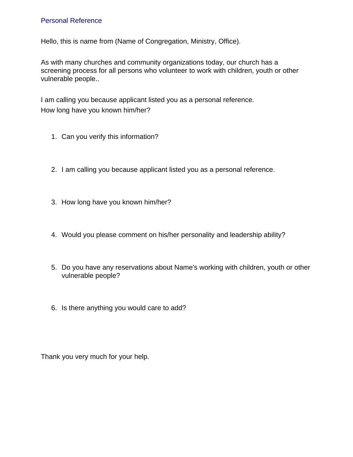#### Personal Reference

Hello, this is name from (Name of Congregation, Ministry, Office).

As with many churches and community organizations today, our church has a screening process for all persons who volunteer to work with children, youth or other vulnerable people..

I am calling you because applicant listed you as a personal reference. How long have you known him/her?

- 1. Can you verify this information?
- 2. I am calling you because applicant listed you as a personal reference.
- 3. How long have you known him/her?
- 4. Would you please comment on his/her personality and leadership ability?
- 5. Do you have any reservations about Name's working with children, youth or other vulnerable people?
- 6. Is there anything you would care to add?

Thank you very much for your help.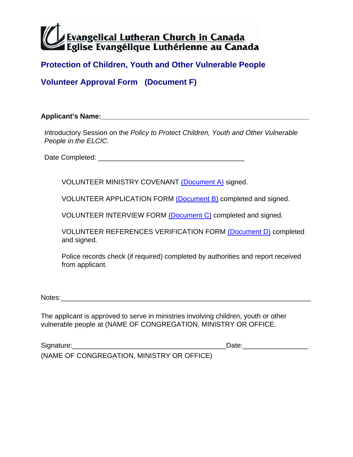### **Protection of Children, Youth and Other Vulnerable People**

**Volunteer Approval Form (Document F)** 

**Applicant's Name:\_\_\_\_\_\_\_\_\_\_\_\_\_\_\_\_\_\_\_\_\_\_\_\_\_\_\_\_\_\_\_\_\_\_\_\_\_\_\_\_\_\_\_\_\_\_\_\_\_\_\_\_\_\_** 

Introductory Session on the *Policy to Protect Children, Youth and Other Vulnerable People in the ELCIC*.

Date Completed: \_\_\_\_\_\_\_\_\_\_\_\_\_\_\_\_\_\_\_\_\_\_\_\_\_\_\_\_\_\_\_\_\_\_\_\_\_\_

VOLUNTEER MINISTRY COVENANT (Document A) signed.

VOLUNTEER APPLICATION FORM (Document B) completed and signed.

VOLUNTEER INTERVIEW FORM (Document C) completed and signed.

VOLUNTEER REFERENCES VERIFICATION FORM (Document D) completed and signed.

Police records check (if required) completed by authorities and report received from applicant.

Notes:

The applicant is approved to serve in ministries involving children, youth or other vulnerable people at (NAME OF CONGREGATION, MINISTRY OR OFFICE.

Signature:\_\_\_\_\_\_\_\_\_\_\_\_\_\_\_\_\_\_\_\_\_\_\_\_\_\_\_\_\_\_\_\_\_\_\_\_\_\_\_\_Date:\_\_\_\_\_\_\_\_\_\_\_\_\_\_\_\_\_

(NAME OF CONGREGATION, MINISTRY OR OFFICE)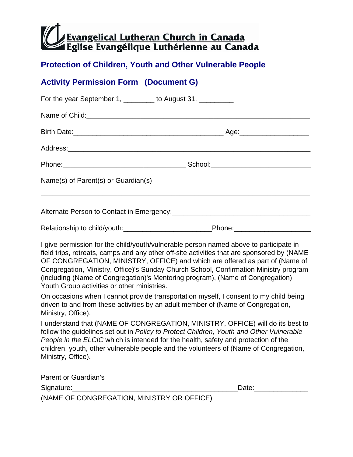### **Protection of Children, Youth and Other Vulnerable People**

# **Activity Permission Form (Document G)**

| For the year September 1, ________ to August 31, _________ |                                                                                                                                                                                                                                                                                                                                                                                                                                                |  |  |  |
|------------------------------------------------------------|------------------------------------------------------------------------------------------------------------------------------------------------------------------------------------------------------------------------------------------------------------------------------------------------------------------------------------------------------------------------------------------------------------------------------------------------|--|--|--|
| Name of Child: <b>Manual According to the Child</b> :      |                                                                                                                                                                                                                                                                                                                                                                                                                                                |  |  |  |
|                                                            |                                                                                                                                                                                                                                                                                                                                                                                                                                                |  |  |  |
|                                                            |                                                                                                                                                                                                                                                                                                                                                                                                                                                |  |  |  |
|                                                            |                                                                                                                                                                                                                                                                                                                                                                                                                                                |  |  |  |
| Name(s) of Parent(s) or Guardian(s)                        |                                                                                                                                                                                                                                                                                                                                                                                                                                                |  |  |  |
|                                                            |                                                                                                                                                                                                                                                                                                                                                                                                                                                |  |  |  |
|                                                            | Relationship to child/youth:_________________________________Phone:______________                                                                                                                                                                                                                                                                                                                                                              |  |  |  |
| Youth Group activities or other ministries.                | I give permission for the child/youth/vulnerable person named above to participate in<br>field trips, retreats, camps and any other off-site activities that are sponsored by (NAME<br>OF CONGREGATION, MINISTRY, OFFICE) and which are offered as part of (Name of<br>Congregation, Ministry, Office)'s Sunday Church School, Confirmation Ministry program<br>(including (Name of Congregation)'s Mentoring program), (Name of Congregation) |  |  |  |
| Ministry, Office).                                         | On occasions when I cannot provide transportation myself, I consent to my child being<br>driven to and from these activities by an adult member of (Name of Congregation,                                                                                                                                                                                                                                                                      |  |  |  |
|                                                            | $\mathbf{I} = \mathbf{I} + \mathbf{H} + \mathbf{H}$                                                                                                                                                                                                                                                                                                                                                                                            |  |  |  |

I understand that (NAME OF CONGREGATION, MINISTRY, OFFICE) will do its best to follow the guidelines set out in *Policy to Protect Children, Youth and Other Vulnerable People in the ELCIC* which is intended for the health, safety and protection of the children, youth, other vulnerable people and the volunteers of (Name of Congregation, Ministry, Office).

| Parent or Guardian's                       |  |
|--------------------------------------------|--|
| Signature:<br>Date:                        |  |
| (NAME OF CONGREGATION, MINISTRY OR OFFICE) |  |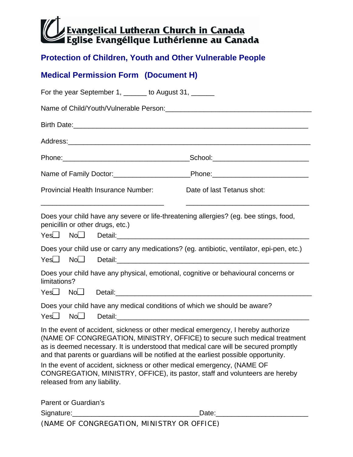### **Protection of Children, Youth and Other Vulnerable People**

## **Medical Permission Form (Document H)**

| For the year September 1, ______ to August 31, ______ |                             |                                            |                                                                                                                                                                                                                                                                                                                                                                                                                                                                                                          |
|-------------------------------------------------------|-----------------------------|--------------------------------------------|----------------------------------------------------------------------------------------------------------------------------------------------------------------------------------------------------------------------------------------------------------------------------------------------------------------------------------------------------------------------------------------------------------------------------------------------------------------------------------------------------------|
|                                                       |                             |                                            |                                                                                                                                                                                                                                                                                                                                                                                                                                                                                                          |
|                                                       |                             |                                            |                                                                                                                                                                                                                                                                                                                                                                                                                                                                                                          |
|                                                       |                             |                                            |                                                                                                                                                                                                                                                                                                                                                                                                                                                                                                          |
|                                                       |                             |                                            |                                                                                                                                                                                                                                                                                                                                                                                                                                                                                                          |
|                                                       |                             |                                            |                                                                                                                                                                                                                                                                                                                                                                                                                                                                                                          |
|                                                       |                             | <b>Provincial Health Insurance Number:</b> | Date of last Tetanus shot:                                                                                                                                                                                                                                                                                                                                                                                                                                                                               |
|                                                       |                             | penicillin or other drugs, etc.)           | Does your child have any severe or life-threatening allergies? (eg. bee stings, food,                                                                                                                                                                                                                                                                                                                                                                                                                    |
|                                                       |                             |                                            | Does your child use or carry any medications? (eg. antibiotic, ventilator, epi-pen, etc.)                                                                                                                                                                                                                                                                                                                                                                                                                |
| limitations?                                          |                             |                                            | Does your child have any physical, emotional, cognitive or behavioural concerns or                                                                                                                                                                                                                                                                                                                                                                                                                       |
|                                                       |                             |                                            |                                                                                                                                                                                                                                                                                                                                                                                                                                                                                                          |
|                                                       |                             |                                            | Does your child have any medical conditions of which we should be aware?                                                                                                                                                                                                                                                                                                                                                                                                                                 |
|                                                       |                             | released from any liability.               | In the event of accident, sickness or other medical emergency, I hereby authorize<br>(NAME OF CONGREGATION, MINISTRY, OFFICE) to secure such medical treatment<br>as is deemed necessary. It is understood that medical care will be secured promptly<br>and that parents or guardians will be notified at the earliest possible opportunity.<br>In the event of accident, sickness or other medical emergency, (NAME OF<br>CONGREGATION, MINISTRY, OFFICE), its pastor, staff and volunteers are hereby |
|                                                       | <b>Parent or Guardian's</b> |                                            |                                                                                                                                                                                                                                                                                                                                                                                                                                                                                                          |
|                                                       |                             |                                            |                                                                                                                                                                                                                                                                                                                                                                                                                                                                                                          |

(NAME OF CONGREGATION, MINISTRY OR OFFICE)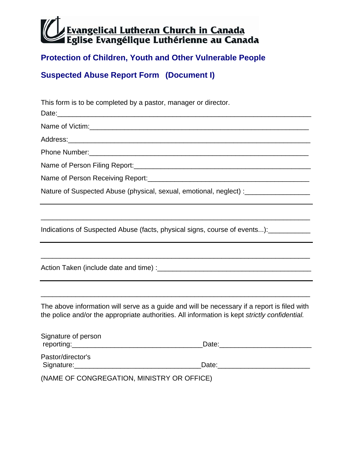# **Protection of Children, Youth and Other Vulnerable People**

**Suspected Abuse Report Form (Document I)** 

| This form is to be completed by a pastor, manager or director.                                                                                                                                                                                        |  |  |  |  |
|-------------------------------------------------------------------------------------------------------------------------------------------------------------------------------------------------------------------------------------------------------|--|--|--|--|
|                                                                                                                                                                                                                                                       |  |  |  |  |
|                                                                                                                                                                                                                                                       |  |  |  |  |
|                                                                                                                                                                                                                                                       |  |  |  |  |
|                                                                                                                                                                                                                                                       |  |  |  |  |
|                                                                                                                                                                                                                                                       |  |  |  |  |
|                                                                                                                                                                                                                                                       |  |  |  |  |
| Nature of Suspected Abuse (physical, sexual, emotional, neglect) : ______________                                                                                                                                                                     |  |  |  |  |
|                                                                                                                                                                                                                                                       |  |  |  |  |
| Indications of Suspected Abuse (facts, physical signs, course of events):                                                                                                                                                                             |  |  |  |  |
|                                                                                                                                                                                                                                                       |  |  |  |  |
|                                                                                                                                                                                                                                                       |  |  |  |  |
|                                                                                                                                                                                                                                                       |  |  |  |  |
| The above information will serve as a guide and will be necessary if a report is filed with<br>the police and/or the appropriate authorities. All information is kept strictly confidential.                                                          |  |  |  |  |
| Signature of person<br>Date: the contract of the contract of the contract of the contract of the contract of the contract of the contract of the contract of the contract of the contract of the contract of the contract of the contract of the cont |  |  |  |  |
| Pastor/director's                                                                                                                                                                                                                                     |  |  |  |  |
| (NAME OF CONGREGATION, MINISTRY OR OFFICE)                                                                                                                                                                                                            |  |  |  |  |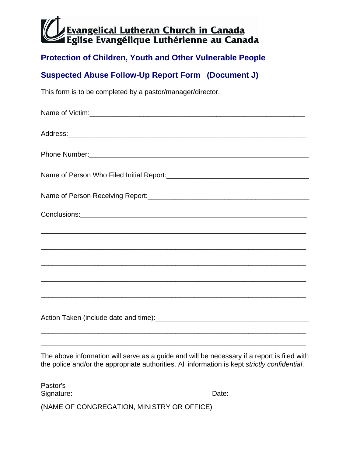### **Protection of Children, Youth and Other Vulnerable People**

# **Suspected Abuse Follow-Up Report Form (Document J)**

This form is to be completed by a pastor/manager/director.

| ,我们也不能在这里的人,我们也不能在这里的人,我们也不能不能不能不能不能不能不能不能不能不能不能。""我们,我们也不能不能不能不能不能不能不能不能不能不能不能不<br>The above information will serve as a guide and will be necessary if a report is filed with<br>the police and/or the appropriate authorities. All information is kept strictly confidential. |
|----------------------------------------------------------------------------------------------------------------------------------------------------------------------------------------------------------------------------------------------------------------------------------|

| Pastor's   |      |
|------------|------|
| Signature: | Date |

(NAME OF CONGREGATION, MINISTRY OR OFFICE)